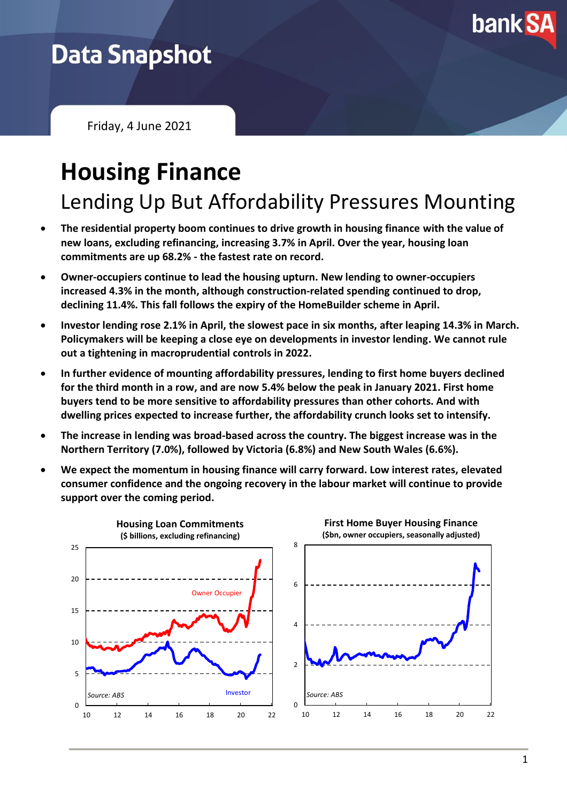

## **Data Snapshot**

Friday, 4 June 2021

# **Housing Finance**

Lending Up But Affordability Pressures Mounting

- **The residential property boom continues to drive growth in housing finance with the value of new loans, excluding refinancing, increasing 3.7% in April. Over the year, housing loan commitments are up 68.2% - the fastest rate on record.**
- **Owner-occupiers continue to lead the housing upturn. New lending to owner-occupiers increased 4.3% in the month, although construction-related spending continued to drop, declining 11.4%. This fall follows the expiry of the HomeBuilder scheme in April.**
- **Investor lending rose 2.1% in April, the slowest pace in six months, after leaping 14.3% in March. Policymakers will be keeping a close eye on developments in investor lending. We cannot rule out a tightening in macroprudential controls in 2022.**
- **In further evidence of mounting affordability pressures, lending to first home buyers declined for the third month in a row, and are now 5.4% below the peak in January 2021. First home buyers tend to be more sensitive to affordability pressures than other cohorts. And with dwelling prices expected to increase further, the affordability crunch looks set to intensify.**
- **The increase in lending was broad-based across the country. The biggest increase was in the Northern Territory (7.0%), followed by Victoria (6.8%) and New South Wales (6.6%).**
- **We expect the momentum in housing finance will carry forward. Low interest rates, elevated consumer confidence and the ongoing recovery in the labour market will continue to provide support over the coming period.**

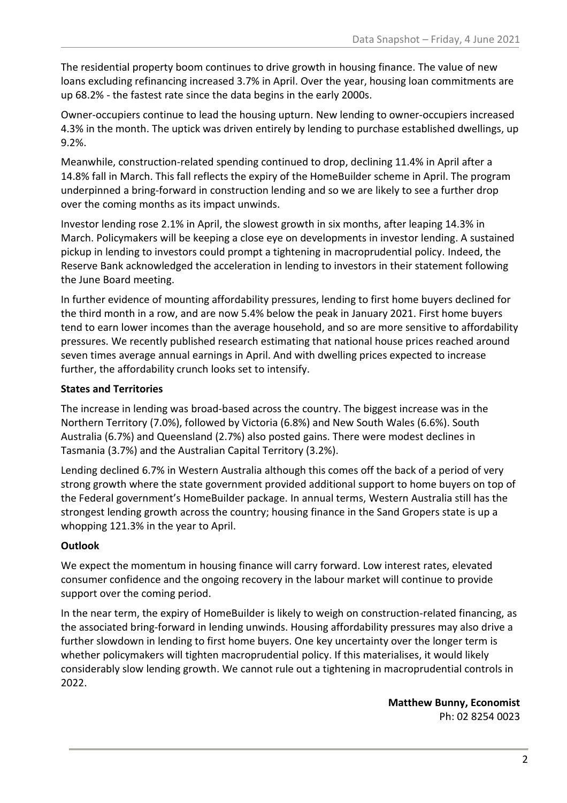The residential property boom continues to drive growth in housing finance. The value of new loans excluding refinancing increased 3.7% in April. Over the year, housing loan commitments are up 68.2% - the fastest rate since the data begins in the early 2000s.

Owner-occupiers continue to lead the housing upturn. New lending to owner-occupiers increased 4.3% in the month. The uptick was driven entirely by lending to purchase established dwellings, up 9.2%.

Meanwhile, construction-related spending continued to drop, declining 11.4% in April after a 14.8% fall in March. This fall reflects the expiry of the HomeBuilder scheme in April. The program underpinned a bring-forward in construction lending and so we are likely to see a further drop over the coming months as its impact unwinds.

Investor lending rose 2.1% in April, the slowest growth in six months, after leaping 14.3% in March. Policymakers will be keeping a close eye on developments in investor lending. A sustained pickup in lending to investors could prompt a tightening in macroprudential policy. Indeed, the Reserve Bank acknowledged the acceleration in lending to investors in their statement following the June Board meeting.

In further evidence of mounting affordability pressures, lending to first home buyers declined for the third month in a row, and are now 5.4% below the peak in January 2021. First home buyers tend to earn lower incomes than the average household, and so are more sensitive to affordability pressures. We recently published research estimating that national house prices reached around seven times average annual earnings in April. And with dwelling prices expected to increase further, the affordability crunch looks set to intensify.

#### **States and Territories**

The increase in lending was broad-based across the country. The biggest increase was in the Northern Territory (7.0%), followed by Victoria (6.8%) and New South Wales (6.6%). South Australia (6.7%) and Queensland (2.7%) also posted gains. There were modest declines in Tasmania (3.7%) and the Australian Capital Territory (3.2%).

Lending declined 6.7% in Western Australia although this comes off the back of a period of very strong growth where the state government provided additional support to home buyers on top of the Federal government's HomeBuilder package. In annual terms, Western Australia still has the strongest lending growth across the country; housing finance in the Sand Gropers state is up a whopping 121.3% in the year to April.

#### **Outlook**

We expect the momentum in housing finance will carry forward. Low interest rates, elevated consumer confidence and the ongoing recovery in the labour market will continue to provide support over the coming period.

In the near term, the expiry of HomeBuilder is likely to weigh on construction-related financing, as the associated bring-forward in lending unwinds. Housing affordability pressures may also drive a further slowdown in lending to first home buyers. One key uncertainty over the longer term is whether policymakers will tighten macroprudential policy. If this materialises, it would likely considerably slow lending growth. We cannot rule out a tightening in macroprudential controls in 2022.

> **Matthew Bunny, Economist** Ph: 02 8254 0023